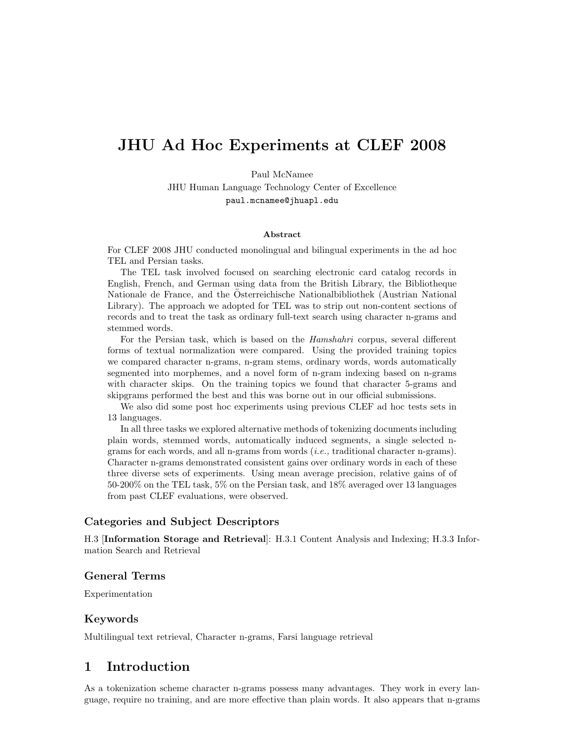# JHU Ad Hoc Experiments at CLEF 2008

Paul McNamee

JHU Human Language Technology Center of Excellence paul.mcnamee@jhuapl.edu

#### Abstract

For CLEF 2008 JHU conducted monolingual and bilingual experiments in the ad hoc TEL and Persian tasks.

The TEL task involved focused on searching electronic card catalog records in English, French, and German using data from the British Library, the Bibliotheque Nationale de France, and the Osterreichische Nationalbibliothek (Austrian National ¨ Library). The approach we adopted for TEL was to strip out non-content sections of records and to treat the task as ordinary full-text search using character n-grams and stemmed words.

For the Persian task, which is based on the Hamshahri corpus, several different forms of textual normalization were compared. Using the provided training topics we compared character n-grams, n-gram stems, ordinary words, words automatically segmented into morphemes, and a novel form of n-gram indexing based on n-grams with character skips. On the training topics we found that character 5-grams and skipgrams performed the best and this was borne out in our official submissions.

We also did some post hoc experiments using previous CLEF ad hoc tests sets in 13 languages.

In all three tasks we explored alternative methods of tokenizing documents including plain words, stemmed words, automatically induced segments, a single selected ngrams for each words, and all n-grams from words  $(i.e.,$  traditional character n-grams). Character n-grams demonstrated consistent gains over ordinary words in each of these three diverse sets of experiments. Using mean average precision, relative gains of of 50-200% on the TEL task, 5% on the Persian task, and 18% averaged over 13 languages from past CLEF evaluations, were observed.

#### Categories and Subject Descriptors

H.3 [Information Storage and Retrieval]: H.3.1 Content Analysis and Indexing; H.3.3 Information Search and Retrieval

#### General Terms

Experimentation

#### Keywords

Multilingual text retrieval, Character n-grams, Farsi language retrieval

### 1 Introduction

As a tokenization scheme character n-grams possess many advantages. They work in every language, require no training, and are more effective than plain words. It also appears that n-grams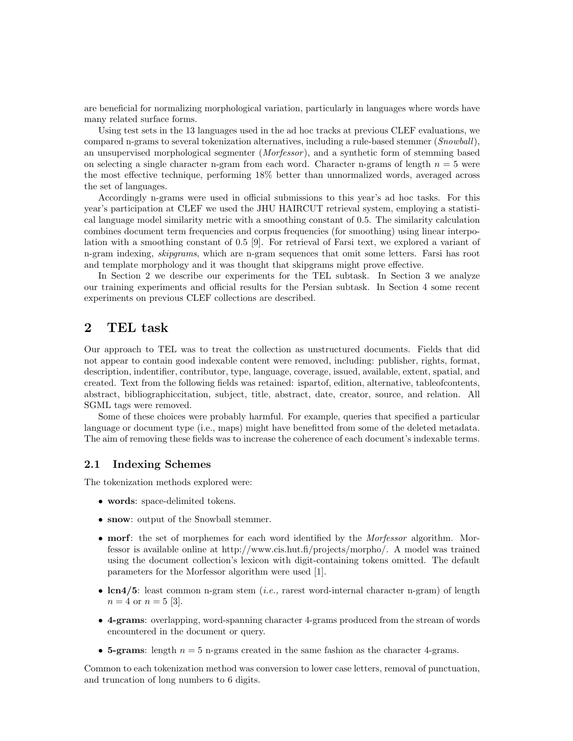are beneficial for normalizing morphological variation, particularly in languages where words have many related surface forms.

Using test sets in the 13 languages used in the ad hoc tracks at previous CLEF evaluations, we compared n-grams to several tokenization alternatives, including a rule-based stemmer (Snowball), an unsupervised morphological segmenter *(Morfessor)*, and a synthetic form of stemming based on selecting a single character n-gram from each word. Character n-grams of length  $n = 5$  were the most effective technique, performing 18% better than unnormalized words, averaged across the set of languages.

Accordingly n-grams were used in official submissions to this year's ad hoc tasks. For this year's participation at CLEF we used the JHU HAIRCUT retrieval system, employing a statistical language model similarity metric with a smoothing constant of 0.5. The similarity calculation combines document term frequencies and corpus frequencies (for smoothing) using linear interpolation with a smoothing constant of 0.5 [9]. For retrieval of Farsi text, we explored a variant of n-gram indexing, *skipgrams*, which are n-gram sequences that omit some letters. Farsi has root and template morphology and it was thought that skipgrams might prove effective.

In Section 2 we describe our experiments for the TEL subtask. In Section 3 we analyze our training experiments and official results for the Persian subtask. In Section 4 some recent experiments on previous CLEF collections are described.

### 2 TEL task

Our approach to TEL was to treat the collection as unstructured documents. Fields that did not appear to contain good indexable content were removed, including: publisher, rights, format, description, indentifier, contributor, type, language, coverage, issued, available, extent, spatial, and created. Text from the following fields was retained: ispartof, edition, alternative, tableofcontents, abstract, bibliographiccitation, subject, title, abstract, date, creator, source, and relation. All SGML tags were removed.

Some of these choices were probably harmful. For example, queries that specified a particular language or document type (i.e., maps) might have benefitted from some of the deleted metadata. The aim of removing these fields was to increase the coherence of each document's indexable terms.

#### 2.1 Indexing Schemes

The tokenization methods explored were:

- words: space-delimited tokens.
- snow: output of the Snowball stemmer.
- morf: the set of morphemes for each word identified by the *Morfessor* algorithm. Morfessor is available online at http://www.cis.hut.fi/projects/morpho/. A model was trained using the document collection's lexicon with digit-containing tokens omitted. The default parameters for the Morfessor algorithm were used [1].
- $lcn4/5$ : least common n-gram stem *(i.e.,* rarest word-internal character n-gram) of length  $n = 4$  or  $n = 5$  [3].
- 4-grams: overlapping, word-spanning character 4-grams produced from the stream of words encountered in the document or query.
- 5-grams: length  $n = 5$  n-grams created in the same fashion as the character 4-grams.

Common to each tokenization method was conversion to lower case letters, removal of punctuation, and truncation of long numbers to 6 digits.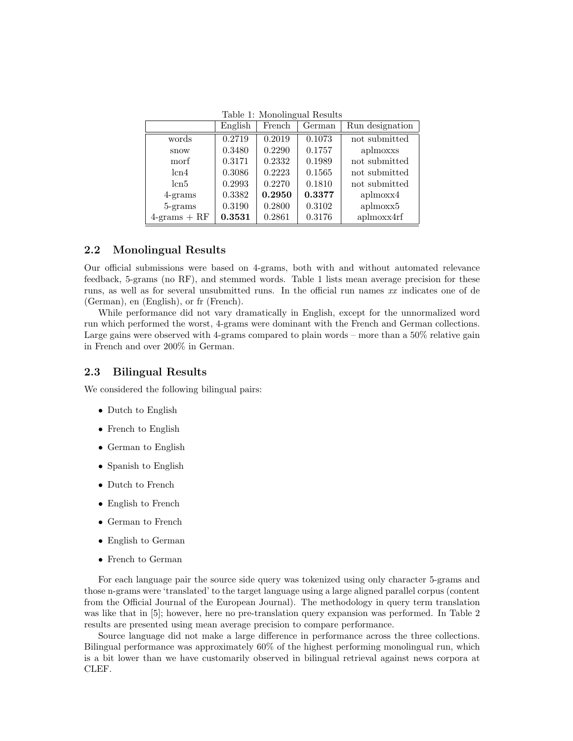Table 1: Monolingual Results

|                 | English | French | German | Run designation |
|-----------------|---------|--------|--------|-----------------|
| words           | 0.2719  | 0.2019 | 0.1073 | not submitted   |
| snow            | 0.3480  | 0.2290 | 0.1757 | aplmoxxs        |
| morf            | 0.3171  | 0.2332 | 0.1989 | not submitted   |
| lcn4            | 0.3086  | 0.2223 | 0.1565 | not submitted   |
| lcn5            | 0.2993  | 0.2270 | 0.1810 | not submitted   |
| $4$ -grams      | 0.3382  | 0.2950 | 0.3377 | aplmoxx4        |
| 5-grams         | 0.3190  | 0.2800 | 0.3102 | aplmoxx5        |
| $4$ -grams + RF | 0.3531  | 0.2861 | 0.3176 | aplmoxx4rf      |

#### 2.2 Monolingual Results

Our official submissions were based on 4-grams, both with and without automated relevance feedback, 5-grams (no RF), and stemmed words. Table 1 lists mean average precision for these runs, as well as for several unsubmitted runs. In the official run names xx indicates one of de (German), en (English), or fr (French).

While performance did not vary dramatically in English, except for the unnormalized word run which performed the worst, 4-grams were dominant with the French and German collections. Large gains were observed with 4-grams compared to plain words – more than a 50% relative gain in French and over 200% in German.

#### 2.3 Bilingual Results

We considered the following bilingual pairs:

- Dutch to English
- French to English
- German to English
- Spanish to English
- Dutch to French
- English to French
- German to French
- English to German
- French to German

For each language pair the source side query was tokenized using only character 5-grams and those n-grams were 'translated' to the target language using a large aligned parallel corpus (content from the Official Journal of the European Journal). The methodology in query term translation was like that in [5]; however, here no pre-translation query expansion was performed. In Table 2 results are presented using mean average precision to compare performance.

Source language did not make a large difference in performance across the three collections. Bilingual performance was approximately 60% of the highest performing monolingual run, which is a bit lower than we have customarily observed in bilingual retrieval against news corpora at CLEF.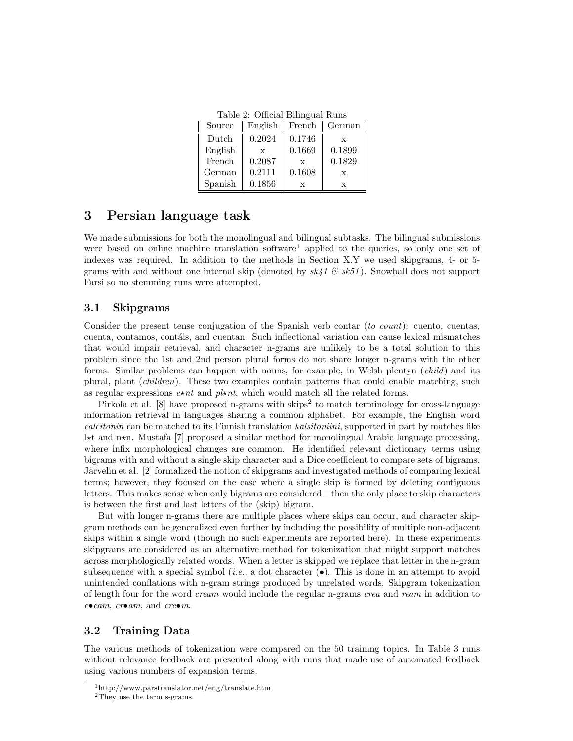Table 2: Official Bilingual Runs

| Source  | English      | French | German       |
|---------|--------------|--------|--------------|
| Dutch   | 0.2024       | 0.1746 | $\mathbf{x}$ |
| English | $\mathbf{x}$ | 0.1669 | 0.1899       |
| French  | 0.2087       | X      | 0.1829       |
| German  | 0.2111       | 0.1608 | $\mathbf x$  |
| Spanish | 0.1856       | X      | X            |

### 3 Persian language task

We made submissions for both the monolingual and bilingual subtasks. The bilingual submissions were based on online machine translation software<sup>1</sup> applied to the queries, so only one set of indexes was required. In addition to the methods in Section X.Y we used skipgrams, 4- or 5 grams with and without one internal skip (denoted by  $sk41 \& sk51$ ). Snowball does not support Farsi so no stemming runs were attempted.

#### 3.1 Skipgrams

Consider the present tense conjugation of the Spanish verb contar (to count): cuento, cuentas, cuenta, contamos, contáis, and cuentan. Such inflectional variation can cause lexical mismatches that would impair retrieval, and character n-grams are unlikely to be a total solution to this problem since the 1st and 2nd person plural forms do not share longer n-grams with the other forms. Similar problems can happen with nouns, for example, in Welsh plentyn (*child*) and its plural, plant *(children)*. These two examples contain patterns that could enable matching, such as regular expressions  $c \star nt$  and pl $\star nt$ , which would match all the related forms.

Pirkola et al. [8] have proposed n-grams with skips<sup>2</sup> to match terminology for cross-language information retrieval in languages sharing a common alphabet. For example, the English word calcitonin can be matched to its Finnish translation kalsitoniini, supported in part by matches like  $l$ <sup>\*t</sup> and n<sup>\*n</sup>. Mustafa [7] proposed a similar method for monolingual Arabic language processing, where infix morphological changes are common. He identified relevant dictionary terms using bigrams with and without a single skip character and a Dice coefficient to compare sets of bigrams. Järvelin et al. [2] formalized the notion of skipgrams and investigated methods of comparing lexical terms; however, they focused on the case where a single skip is formed by deleting contiguous letters. This makes sense when only bigrams are considered – then the only place to skip characters is between the first and last letters of the (skip) bigram.

But with longer n-grams there are multiple places where skips can occur, and character skipgram methods can be generalized even further by including the possibility of multiple non-adjacent skips within a single word (though no such experiments are reported here). In these experiments skipgrams are considered as an alternative method for tokenization that might support matches across morphologically related words. When a letter is skipped we replace that letter in the n-gram subsequence with a special symbol (*i.e.*, a dot character  $(\bullet)$ ). This is done in an attempt to avoid unintended conflations with n-gram strings produced by unrelated words. Skipgram tokenization of length four for the word cream would include the regular n-grams crea and ream in addition to  $ceem$ ,  $creom$ , and  $creom$ .

#### 3.2 Training Data

The various methods of tokenization were compared on the 50 training topics. In Table 3 runs without relevance feedback are presented along with runs that made use of automated feedback using various numbers of expansion terms.

<sup>1</sup>http://www.parstranslator.net/eng/translate.htm

<sup>2</sup>They use the term s-grams.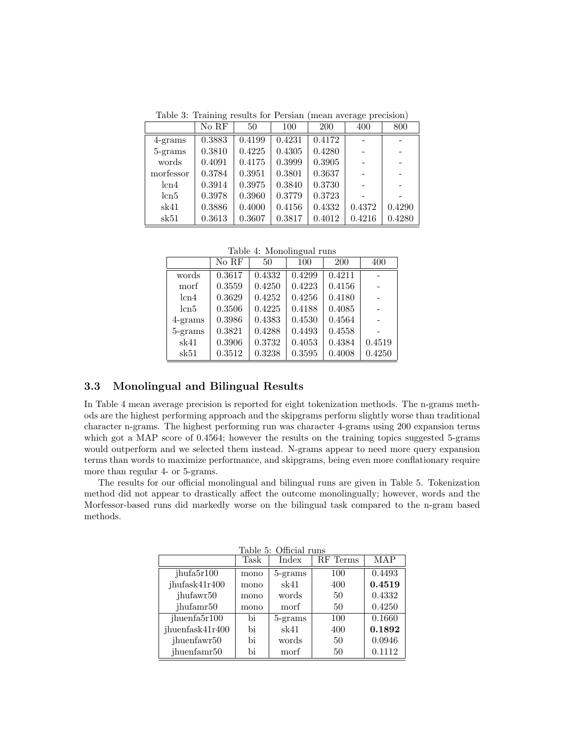Table 3: Training results for Persian (mean average precision)

|            | No RF  | 50     | 100    | <b>200</b> | 400    | 800    |
|------------|--------|--------|--------|------------|--------|--------|
| $4$ -grams | 0.3883 | 0.4199 | 0.4231 | 0.4172     |        |        |
| 5-grams    | 0.3810 | 0.4225 | 0.4305 | 0.4280     |        |        |
| words      | 0.4091 | 0.4175 | 0.3999 | 0.3905     |        |        |
| morfessor  | 0.3784 | 0.3951 | 0.3801 | 0.3637     |        |        |
| lcn4       | 0.3914 | 0.3975 | 0.3840 | 0.3730     |        |        |
| lcn5       | 0.3978 | 0.3960 | 0.3779 | 0.3723     |        |        |
| sk41       | 0.3886 | 0.4000 | 0.4156 | 0.4332     | 0.4372 | 0.4290 |
| sk51       | 0.3613 | 0.3607 | 0.3817 | 0.4012     | 0.4216 | 0.4280 |

Table 4: Monolingual runs

|            | No RF  | 50     | 100    | 200    | 400    |
|------------|--------|--------|--------|--------|--------|
| words      | 0.3617 | 0.4332 | 0.4299 | 0.4211 |        |
| morf       | 0.3559 | 0.4250 | 0.4223 | 0.4156 |        |
| lcn4       | 0.3629 | 0.4252 | 0.4256 | 0.4180 |        |
| lcn5       | 0.3506 | 0.4225 | 0.4188 | 0.4085 |        |
| $4$ -grams | 0.3986 | 0.4383 | 0.4530 | 0.4564 |        |
| 5-grams    | 0.3821 | 0.4288 | 0.4493 | 0.4558 |        |
| sk41       | 0.3906 | 0.3732 | 0.4053 | 0.4384 | 0.4519 |
| sk51       | 0.3512 | 0.3238 | 0.3595 | 0.4008 | 0.4250 |

### 3.3 Monolingual and Bilingual Results

In Table 4 mean average precision is reported for eight tokenization methods. The n-grams methods are the highest performing approach and the skipgrams perform slightly worse than traditional character n-grams. The highest performing run was character 4-grams using 200 expansion terms which got a MAP score of 0.4564; however the results on the training topics suggested 5-grams would outperform and we selected them instead. N-grams appear to need more query expansion terms than words to maximize performance, and skipgrams, being even more conflationary require more than regular 4- or 5-grams.

The results for our official monolingual and bilingual runs are given in Table 5. Tokenization method did not appear to drastically affect the outcome monolingually; however, words and the Morfessor-based runs did markedly worse on the bilingual task compared to the n-gram based methods.

| Table 5: Official runs |      |         |          |        |  |  |  |
|------------------------|------|---------|----------|--------|--|--|--|
|                        | Task | Index   | RF Terms | MAP    |  |  |  |
| jhufa5r100             | mono | 5-grams | 100      | 0.4493 |  |  |  |
| jhufask41r400          | mono | sk41    | 400      | 0.4519 |  |  |  |
| jhufawr <sup>50</sup>  | mono | words   | 50       | 0.4332 |  |  |  |
| jhufamr50              | mono | morf    | 50       | 0.4250 |  |  |  |
| jhuenfa $5r100$        | bi   | 5-grams | 100      | 0.1660 |  |  |  |
| jhuenfask41r400        | bi   | sk41    | 400      | 0.1892 |  |  |  |
| jhuenfawr50            | bi   | words   | 50       | 0.0946 |  |  |  |
| jhuenfamr50            | bi   | morf    | 50       | 0.1112 |  |  |  |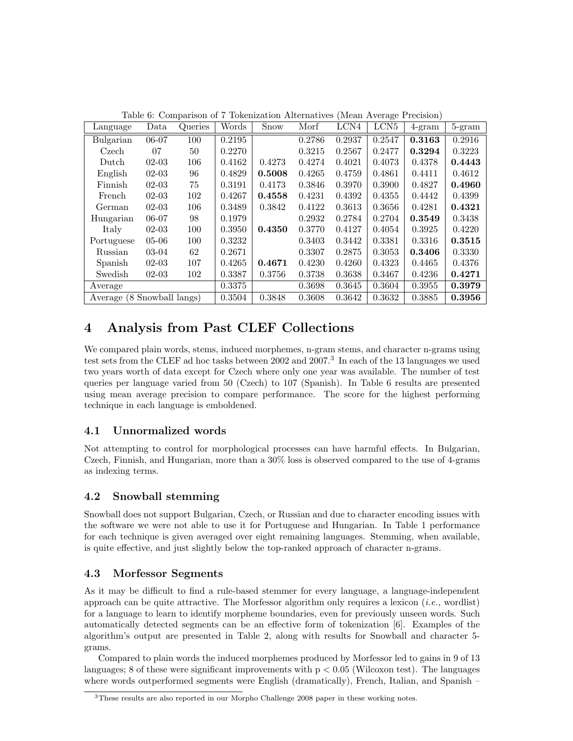| Language                   | Data      | Queries | Words  | <b>Snow</b> | Morf   | LCN4   | LCN <sub>5</sub> | $4\text{-}gram$ | 5-gram |
|----------------------------|-----------|---------|--------|-------------|--------|--------|------------------|-----------------|--------|
| Bulgarian                  | 06-07     | 100     | 0.2195 |             | 0.2786 | 0.2937 | 0.2547           | 0.3163          | 0.2916 |
| Czech                      | 07        | 50      | 0.2270 |             | 0.3215 | 0.2567 | 0.2477           | 0.3294          | 0.3223 |
| Dutch                      | $02-03$   | 106     | 0.4162 | 0.4273      | 0.4274 | 0.4021 | 0.4073           | 0.4378          | 0.4443 |
| English                    | $02-03$   | 96      | 0.4829 | 0.5008      | 0.4265 | 0.4759 | 0.4861           | 0.4411          | 0.4612 |
| Finnish                    | $02-03$   | 75      | 0.3191 | 0.4173      | 0.3846 | 0.3970 | 0.3900           | 0.4827          | 0.4960 |
| French                     | $02-03$   | 102     | 0.4267 | 0.4558      | 0.4231 | 0.4392 | 0.4355           | 0.4442          | 0.4399 |
| German                     | $02-03$   | 106     | 0.3489 | 0.3842      | 0.4122 | 0.3613 | 0.3656           | 0.4281          | 0.4321 |
| Hungarian                  | $06 - 07$ | 98      | 0.1979 |             | 0.2932 | 0.2784 | 0.2704           | 0.3549          | 0.3438 |
| Italy                      | $02-03$   | 100     | 0.3950 | 0.4350      | 0.3770 | 0.4127 | 0.4054           | 0.3925          | 0.4220 |
| Portuguese                 | $05-06$   | 100     | 0.3232 |             | 0.3403 | 0.3442 | 0.3381           | 0.3316          | 0.3515 |
| Russian                    | 03-04     | 62      | 0.2671 |             | 0.3307 | 0.2875 | 0.3053           | 0.3406          | 0.3330 |
| Spanish                    | $02-03$   | 107     | 0.4265 | 0.4671      | 0.4230 | 0.4260 | 0.4323           | 0.4465          | 0.4376 |
| Swedish                    | $02-03$   | 102     | 0.3387 | 0.3756      | 0.3738 | 0.3638 | 0.3467           | 0.4236          | 0.4271 |
| Average                    |           |         | 0.3375 |             | 0.3698 | 0.3645 | 0.3604           | 0.3955          | 0.3979 |
| Average (8 Snowball langs) |           |         | 0.3504 | 0.3848      | 0.3608 | 0.3642 | 0.3632           | 0.3885          | 0.3956 |

Table 6: Comparison of 7 Tokenization Alternatives (Mean Average Precision)

## 4 Analysis from Past CLEF Collections

We compared plain words, stems, induced morphemes, n-gram stems, and character n-grams using test sets from the CLEF ad hoc tasks between 2002 and 2007.<sup>3</sup> In each of the 13 languages we used two years worth of data except for Czech where only one year was available. The number of test queries per language varied from 50 (Czech) to 107 (Spanish). In Table 6 results are presented using mean average precision to compare performance. The score for the highest performing technique in each language is emboldened.

## 4.1 Unnormalized words

Not attempting to control for morphological processes can have harmful effects. In Bulgarian, Czech, Finnish, and Hungarian, more than a 30% loss is observed compared to the use of 4-grams as indexing terms.

### 4.2 Snowball stemming

Snowball does not support Bulgarian, Czech, or Russian and due to character encoding issues with the software we were not able to use it for Portuguese and Hungarian. In Table 1 performance for each technique is given averaged over eight remaining languages. Stemming, when available, is quite effective, and just slightly below the top-ranked approach of character n-grams.

### 4.3 Morfessor Segments

As it may be difficult to find a rule-based stemmer for every language, a language-independent approach can be quite attractive. The Morfessor algorithm only requires a lexicon (*i.e.*, wordlist) for a language to learn to identify morpheme boundaries, even for previously unseen words. Such automatically detected segments can be an effective form of tokenization [6]. Examples of the algorithm's output are presented in Table 2, along with results for Snowball and character 5 grams.

Compared to plain words the induced morphemes produced by Morfessor led to gains in 9 of 13 languages; 8 of these were significant improvements with  $p < 0.05$  (Wilcoxon test). The languages where words outperformed segments were English (dramatically), French, Italian, and Spanish –

<sup>3</sup>These results are also reported in our Morpho Challenge 2008 paper in these working notes.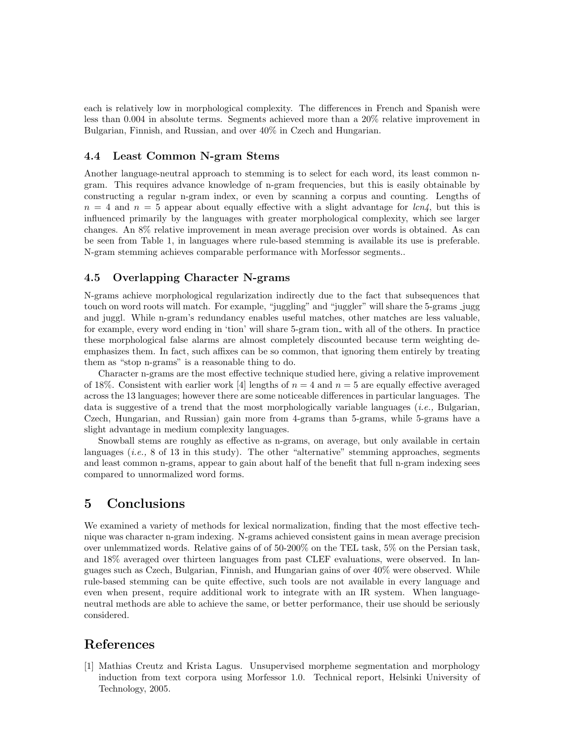each is relatively low in morphological complexity. The differences in French and Spanish were less than 0.004 in absolute terms. Segments achieved more than a 20% relative improvement in Bulgarian, Finnish, and Russian, and over 40% in Czech and Hungarian.

#### 4.4 Least Common N-gram Stems

Another language-neutral approach to stemming is to select for each word, its least common ngram. This requires advance knowledge of n-gram frequencies, but this is easily obtainable by constructing a regular n-gram index, or even by scanning a corpus and counting. Lengths of  $n = 4$  and  $n = 5$  appear about equally effective with a slight advantage for lcn4, but this is influenced primarily by the languages with greater morphological complexity, which see larger changes. An 8% relative improvement in mean average precision over words is obtained. As can be seen from Table 1, in languages where rule-based stemming is available its use is preferable. N-gram stemming achieves comparable performance with Morfessor segments..

#### 4.5 Overlapping Character N-grams

N-grams achieve morphological regularization indirectly due to the fact that subsequences that touch on word roots will match. For example, "juggling" and "juggler" will share the 5-grams jugg and juggl. While n-gram's redundancy enables useful matches, other matches are less valuable, for example, every word ending in 'tion' will share 5-gram tion with all of the others. In practice these morphological false alarms are almost completely discounted because term weighting deemphasizes them. In fact, such affixes can be so common, that ignoring them entirely by treating them as "stop n-grams" is a reasonable thing to do.

Character n-grams are the most effective technique studied here, giving a relative improvement of 18%. Consistent with earlier work [4] lengths of  $n = 4$  and  $n = 5$  are equally effective averaged across the 13 languages; however there are some noticeable differences in particular languages. The data is suggestive of a trend that the most morphologically variable languages *(i.e.*, Bulgarian, Czech, Hungarian, and Russian) gain more from 4-grams than 5-grams, while 5-grams have a slight advantage in medium complexity languages.

Snowball stems are roughly as effective as n-grams, on average, but only available in certain languages (*i.e.*, 8 of 13 in this study). The other "alternative" stemming approaches, segments and least common n-grams, appear to gain about half of the benefit that full n-gram indexing sees compared to unnormalized word forms.

### 5 Conclusions

We examined a variety of methods for lexical normalization, finding that the most effective technique was character n-gram indexing. N-grams achieved consistent gains in mean average precision over unlemmatized words. Relative gains of of 50-200% on the TEL task, 5% on the Persian task, and 18% averaged over thirteen languages from past CLEF evaluations, were observed. In languages such as Czech, Bulgarian, Finnish, and Hungarian gains of over 40% were observed. While rule-based stemming can be quite effective, such tools are not available in every language and even when present, require additional work to integrate with an IR system. When languageneutral methods are able to achieve the same, or better performance, their use should be seriously considered.

## References

[1] Mathias Creutz and Krista Lagus. Unsupervised morpheme segmentation and morphology induction from text corpora using Morfessor 1.0. Technical report, Helsinki University of Technology, 2005.